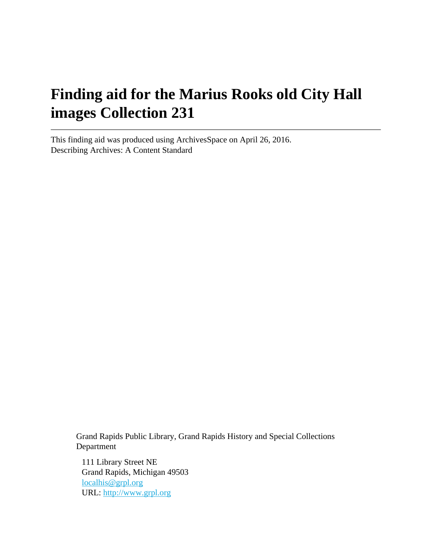# **Finding aid for the Marius Rooks old City Hall images Collection 231**

This finding aid was produced using ArchivesSpace on April 26, 2016. Describing Archives: A Content Standard

> Grand Rapids Public Library, Grand Rapids History and Special Collections Department

111 Library Street NE Grand Rapids, Michigan 49503 [localhis@grpl.org](mailto:localhis@grpl.org) URL:<http://www.grpl.org>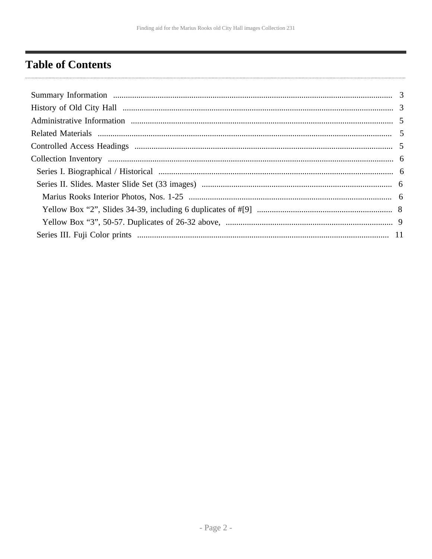# <span id="page-1-0"></span>**Table of Contents**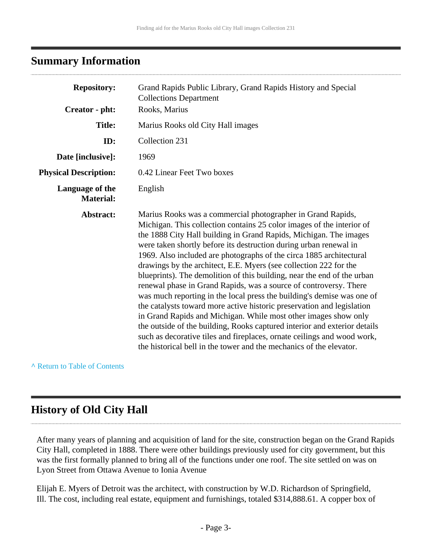### <span id="page-2-0"></span>**Summary Information**

| <b>Repository:</b>                  | Grand Rapids Public Library, Grand Rapids History and Special<br><b>Collections Department</b>                                                                                                                                                                                                                                                                                                                                                                                                                                                                                                                                                                                                                                                                                                                                                                                                                                                                                                                                   |
|-------------------------------------|----------------------------------------------------------------------------------------------------------------------------------------------------------------------------------------------------------------------------------------------------------------------------------------------------------------------------------------------------------------------------------------------------------------------------------------------------------------------------------------------------------------------------------------------------------------------------------------------------------------------------------------------------------------------------------------------------------------------------------------------------------------------------------------------------------------------------------------------------------------------------------------------------------------------------------------------------------------------------------------------------------------------------------|
| Creator - pht:                      | Rooks, Marius                                                                                                                                                                                                                                                                                                                                                                                                                                                                                                                                                                                                                                                                                                                                                                                                                                                                                                                                                                                                                    |
| <b>Title:</b>                       | Marius Rooks old City Hall images                                                                                                                                                                                                                                                                                                                                                                                                                                                                                                                                                                                                                                                                                                                                                                                                                                                                                                                                                                                                |
| ID:                                 | Collection 231                                                                                                                                                                                                                                                                                                                                                                                                                                                                                                                                                                                                                                                                                                                                                                                                                                                                                                                                                                                                                   |
| Date [inclusive]:                   | 1969                                                                                                                                                                                                                                                                                                                                                                                                                                                                                                                                                                                                                                                                                                                                                                                                                                                                                                                                                                                                                             |
| <b>Physical Description:</b>        | 0.42 Linear Feet Two boxes                                                                                                                                                                                                                                                                                                                                                                                                                                                                                                                                                                                                                                                                                                                                                                                                                                                                                                                                                                                                       |
| Language of the<br><b>Material:</b> | English                                                                                                                                                                                                                                                                                                                                                                                                                                                                                                                                                                                                                                                                                                                                                                                                                                                                                                                                                                                                                          |
| Abstract:                           | Marius Rooks was a commercial photographer in Grand Rapids,<br>Michigan. This collection contains 25 color images of the interior of<br>the 1888 City Hall building in Grand Rapids, Michigan. The images<br>were taken shortly before its destruction during urban renewal in<br>1969. Also included are photographs of the circa 1885 architectural<br>drawings by the architect, E.E. Myers (see collection 222 for the<br>blueprints). The demolition of this building, near the end of the urban<br>renewal phase in Grand Rapids, was a source of controversy. There<br>was much reporting in the local press the building's demise was one of<br>the catalysts toward more active historic preservation and legislation<br>in Grand Rapids and Michigan. While most other images show only<br>the outside of the building, Rooks captured interior and exterior details<br>such as decorative tiles and fireplaces, ornate ceilings and wood work,<br>the historical bell in the tower and the mechanics of the elevator. |

**^** [Return to Table of Contents](#page-1-0)

## <span id="page-2-1"></span>**History of Old City Hall**

After many years of planning and acquisition of land for the site, construction began on the Grand Rapids City Hall, completed in 1888. There were other buildings previously used for city government, but this was the first formally planned to bring all of the functions under one roof. The site settled on was on Lyon Street from Ottawa Avenue to Ionia Avenue

Elijah E. Myers of Detroit was the architect, with construction by W.D. Richardson of Springfield, Ill. The cost, including real estate, equipment and furnishings, totaled \$314,888.61. A copper box of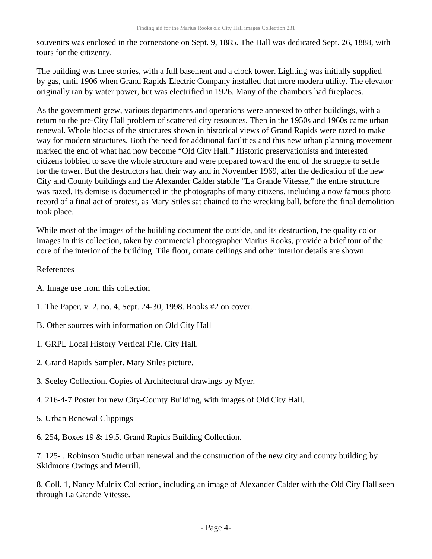souvenirs was enclosed in the cornerstone on Sept. 9, 1885. The Hall was dedicated Sept. 26, 1888, with tours for the citizenry.

The building was three stories, with a full basement and a clock tower. Lighting was initially supplied by gas, until 1906 when Grand Rapids Electric Company installed that more modern utility. The elevator originally ran by water power, but was electrified in 1926. Many of the chambers had fireplaces.

As the government grew, various departments and operations were annexed to other buildings, with a return to the pre-City Hall problem of scattered city resources. Then in the 1950s and 1960s came urban renewal. Whole blocks of the structures shown in historical views of Grand Rapids were razed to make way for modern structures. Both the need for additional facilities and this new urban planning movement marked the end of what had now become "Old City Hall." Historic preservationists and interested citizens lobbied to save the whole structure and were prepared toward the end of the struggle to settle for the tower. But the destructors had their way and in November 1969, after the dedication of the new City and County buildings and the Alexander Calder stabile "La Grande Vitesse," the entire structure was razed. Its demise is documented in the photographs of many citizens, including a now famous photo record of a final act of protest, as Mary Stiles sat chained to the wrecking ball, before the final demolition took place.

While most of the images of the building document the outside, and its destruction, the quality color images in this collection, taken by commercial photographer Marius Rooks, provide a brief tour of the core of the interior of the building. Tile floor, ornate ceilings and other interior details are shown.

#### References

- A. Image use from this collection
- 1. The Paper, v. 2, no. 4, Sept. 24-30, 1998. Rooks #2 on cover.
- B. Other sources with information on Old City Hall
- 1. GRPL Local History Vertical File. City Hall.
- 2. Grand Rapids Sampler. Mary Stiles picture.
- 3. Seeley Collection. Copies of Architectural drawings by Myer.
- 4. 216-4-7 Poster for new City-County Building, with images of Old City Hall.
- 5. Urban Renewal Clippings
- 6. 254, Boxes 19 & 19.5. Grand Rapids Building Collection.

7. 125- . Robinson Studio urban renewal and the construction of the new city and county building by Skidmore Owings and Merrill.

8. Coll. 1, Nancy Mulnix Collection, including an image of Alexander Calder with the Old City Hall seen through La Grande Vitesse.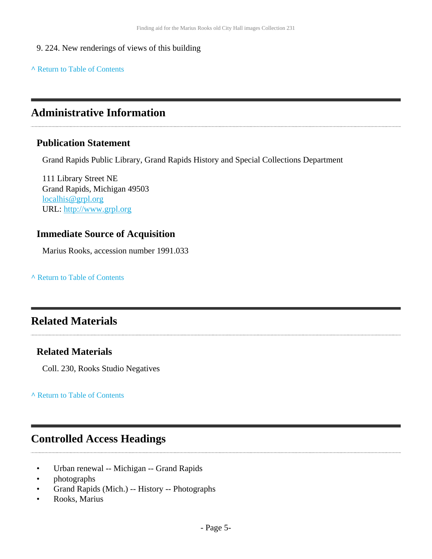- 9. 224. New renderings of views of this building
- **^** [Return to Table of Contents](#page-1-0)

### <span id="page-4-0"></span>**Administrative Information**

### **Publication Statement**

Grand Rapids Public Library, Grand Rapids History and Special Collections Department

111 Library Street NE Grand Rapids, Michigan 49503 [localhis@grpl.org](mailto:localhis@grpl.org) URL:<http://www.grpl.org>

### **Immediate Source of Acquisition**

Marius Rooks, accession number 1991.033

**^** [Return to Table of Contents](#page-1-0)

# <span id="page-4-1"></span>**Related Materials**

### **Related Materials**

Coll. 230, Rooks Studio Negatives

**^** [Return to Table of Contents](#page-1-0)

### <span id="page-4-2"></span>**Controlled Access Headings**

- Urban renewal -- Michigan -- Grand Rapids
- photographs
- Grand Rapids (Mich.) -- History -- Photographs
- Rooks, Marius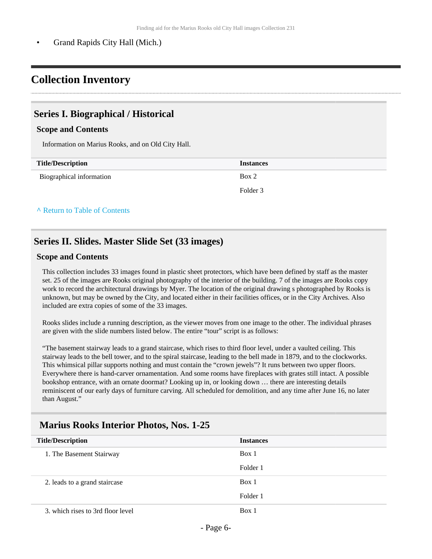• Grand Rapids City Hall (Mich.)

# <span id="page-5-0"></span>**Collection Inventory**

### <span id="page-5-1"></span>**Series I. Biographical / Historical**

#### **Scope and Contents**

Information on Marius Rooks, and on Old City Hall.

| <b>Title/Description</b> | <b>Instances</b> |
|--------------------------|------------------|
| Biographical information | Box 2            |
|                          | Folder 3         |

#### **^** [Return to Table of Contents](#page-1-0)

### <span id="page-5-2"></span>**Series II. Slides. Master Slide Set (33 images)**

#### **Scope and Contents**

This collection includes 33 images found in plastic sheet protectors, which have been defined by staff as the master set. 25 of the images are Rooks original photography of the interior of the building. 7 of the images are Rooks copy work to record the architectural drawings by Myer. The location of the original drawing s photographed by Rooks is unknown, but may be owned by the City, and located either in their facilities offices, or in the City Archives. Also included are extra copies of some of the 33 images.

Rooks slides include a running description, as the viewer moves from one image to the other. The individual phrases are given with the slide numbers listed below. The entire "tour" script is as follows:

"The basement stairway leads to a grand staircase, which rises to third floor level, under a vaulted ceiling. This stairway leads to the bell tower, and to the spiral staircase, leading to the bell made in 1879, and to the clockworks. This whimsical pillar supports nothing and must contain the "crown jewels"? It runs between two upper floors. Everywhere there is hand-carver ornamentation. And some rooms have fireplaces with grates still intact. A possible bookshop entrance, with an ornate doormat? Looking up in, or looking down … there are interesting details reminiscent of our early days of furniture carving. All scheduled for demolition, and any time after June 16, no later than August."

### <span id="page-5-3"></span>**Marius Rooks Interior Photos, Nos. 1-25**

| <b>Title/Description</b>          | <b>Instances</b> |
|-----------------------------------|------------------|
| 1. The Basement Stairway          | Box 1            |
|                                   | Folder 1         |
| 2. leads to a grand staircase     | Box 1            |
|                                   | Folder 1         |
| 3. which rises to 3rd floor level | Box 1            |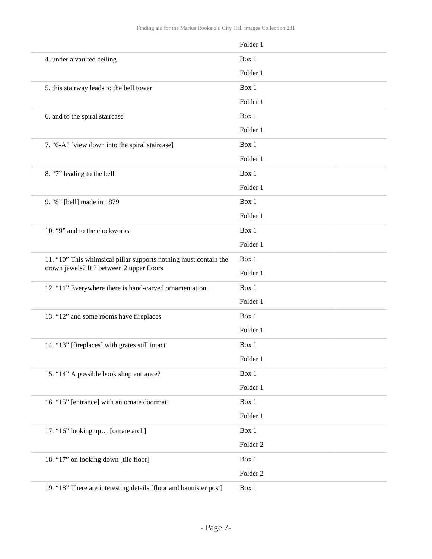|                                                                   | Folder 1            |
|-------------------------------------------------------------------|---------------------|
| 4. under a vaulted ceiling                                        | Box 1               |
|                                                                   | Folder 1            |
| 5. this stairway leads to the bell tower                          | Box 1               |
|                                                                   | Folder 1            |
| 6. and to the spiral staircase                                    | Box 1               |
|                                                                   | Folder 1            |
| 7. "6-A" [view down into the spiral staircase]                    | Box 1               |
|                                                                   | Folder 1            |
| 8. "7" leading to the bell                                        | Box 1               |
|                                                                   | Folder 1            |
| 9. "8" [bell] made in 1879                                        | Box 1               |
|                                                                   | Folder 1            |
| 10. "9" and to the clockworks                                     | Box 1               |
|                                                                   | Folder 1            |
| 11. "10" This whimsical pillar supports nothing must contain the  | Box 1               |
| crown jewels? It ? between 2 upper floors                         | Folder 1            |
| 12. "11" Everywhere there is hand-carved ornamentation            | Box 1               |
|                                                                   | Folder 1            |
| 13. "12" and some rooms have fireplaces                           | Box 1               |
|                                                                   | Folder 1            |
| 14. "13" [fireplaces] with grates still intact                    | Box 1               |
|                                                                   | Folder 1            |
| 15. "14" A possible book shop entrance?                           | Box 1               |
|                                                                   | Folder 1            |
| 16. "15" [entrance] with an ornate doormat!                       | Box 1               |
|                                                                   | Folder 1            |
| 17. "16" looking up [ornate arch]                                 | Box 1               |
|                                                                   | Folder <sub>2</sub> |
| 18. "17" on looking down [tile floor]                             | Box 1               |
|                                                                   | Folder 2            |
| 19. "18" There are interesting details [floor and bannister post] | Box 1               |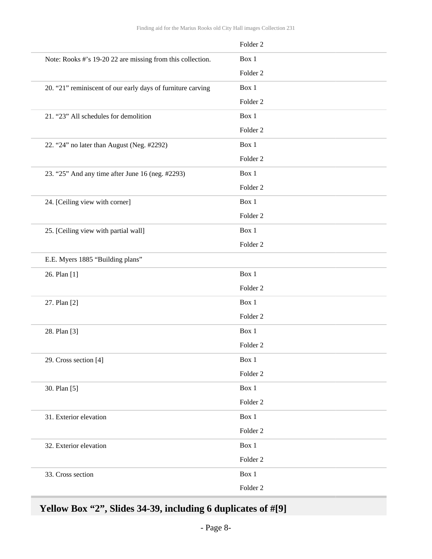|                                                             | Folder <sub>2</sub> |
|-------------------------------------------------------------|---------------------|
| Note: Rooks #'s 19-20 22 are missing from this collection.  | Box 1               |
|                                                             | Folder <sub>2</sub> |
| 20. "21" reminiscent of our early days of furniture carving | Box 1               |
|                                                             | Folder <sub>2</sub> |
| 21. "23" All schedules for demolition                       | Box 1               |
|                                                             | Folder <sub>2</sub> |
| 22. "24" no later than August (Neg. #2292)                  | Box 1               |
|                                                             | Folder <sub>2</sub> |
| 23. "25" And any time after June 16 (neg. #2293)            | Box 1               |
|                                                             | Folder <sub>2</sub> |
| 24. [Ceiling view with corner]                              | Box 1               |
|                                                             | Folder <sub>2</sub> |
| 25. [Ceiling view with partial wall]                        | Box 1               |
|                                                             | Folder <sub>2</sub> |
| E.E. Myers 1885 "Building plans"                            |                     |
| 26. Plan [1]                                                | Box 1               |
|                                                             | Folder <sub>2</sub> |
| 27. Plan [2]                                                | Box 1               |
|                                                             | Folder <sub>2</sub> |
| 28. Plan [3]                                                | Box 1               |
|                                                             | Folder <sub>2</sub> |
| 29. Cross section [4]                                       | Box 1               |
|                                                             | Folder <sub>2</sub> |
| 30. Plan [5]                                                | Box 1               |
|                                                             | Folder <sub>2</sub> |
| 31. Exterior elevation                                      | Box 1               |
|                                                             | Folder <sub>2</sub> |
| 32. Exterior elevation                                      | Box 1               |
|                                                             | Folder <sub>2</sub> |
| 33. Cross section                                           | Box 1               |
|                                                             | Folder 2            |

# <span id="page-7-0"></span>**Yellow Box "2", Slides 34-39, including 6 duplicates of #[9]**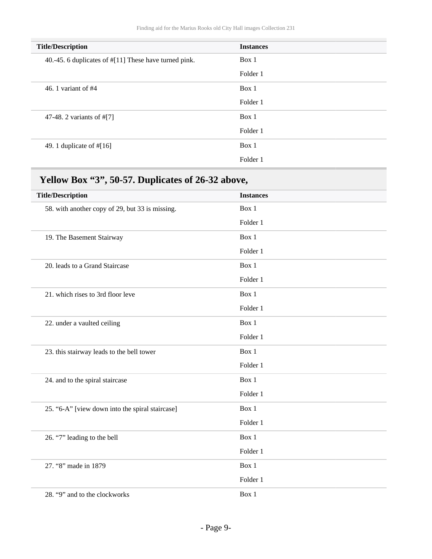| <b>Title/Description</b>                              | <b>Instances</b> |
|-------------------------------------------------------|------------------|
| 40.-45. 6 duplicates of #[11] These have turned pink. | Box 1            |
|                                                       | Folder 1         |
| 46. 1 variant of $#4$                                 | Box 1            |
|                                                       | Folder 1         |
| 47-48. 2 variants of #[7]                             | Box 1            |
|                                                       | Folder 1         |
| 49. 1 duplicate of $\#[16]$                           | Box 1            |
|                                                       | Folder 1         |
|                                                       |                  |

# <span id="page-8-0"></span>**Yellow Box "3", 50-57. Duplicates of 26-32 above,**

| <b>Title/Description</b>                        | <b>Instances</b> |
|-------------------------------------------------|------------------|
| 58. with another copy of 29, but 33 is missing. | Box 1            |
|                                                 | Folder 1         |
| 19. The Basement Stairway                       | Box 1            |
|                                                 | Folder 1         |
| 20. leads to a Grand Staircase                  | Box 1            |
|                                                 | Folder 1         |
| 21. which rises to 3rd floor leve               | Box 1            |
|                                                 | Folder 1         |
| 22. under a vaulted ceiling                     | Box 1            |
|                                                 | Folder 1         |
| 23. this stairway leads to the bell tower       | Box 1            |
|                                                 | Folder 1         |
| 24. and to the spiral staircase                 | Box 1            |
|                                                 | Folder 1         |
| 25. "6-A" [view down into the spiral staircase] | Box 1            |
|                                                 | Folder 1         |
| 26. "7" leading to the bell                     | Box 1            |
|                                                 | Folder 1         |
| 27. "8" made in 1879                            | Box 1            |
|                                                 | Folder 1         |
| 28. "9" and to the clockworks                   | Box 1            |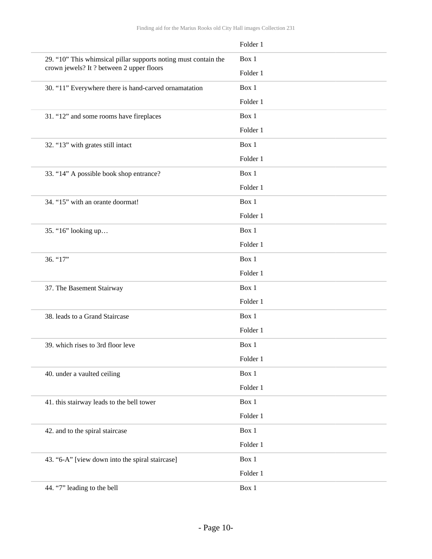|                                                                 | Folder 1 |
|-----------------------------------------------------------------|----------|
| 29. "10" This whimsical pillar supports noting must contain the | Box 1    |
| crown jewels? It ? between 2 upper floors                       | Folder 1 |
| 30. "11" Everywhere there is hand-carved ornamatation           | Box 1    |
|                                                                 | Folder 1 |
| 31. "12" and some rooms have fireplaces                         | Box 1    |
|                                                                 | Folder 1 |
| 32. "13" with grates still intact                               | Box 1    |
|                                                                 | Folder 1 |
| 33. "14" A possible book shop entrance?                         | Box 1    |
|                                                                 | Folder 1 |
| 34. "15" with an orante doormat!                                | Box 1    |
|                                                                 | Folder 1 |
| 35. "16" looking up                                             | Box 1    |
|                                                                 | Folder 1 |
| 36. "17"                                                        | Box 1    |
|                                                                 | Folder 1 |
| 37. The Basement Stairway                                       | Box 1    |
|                                                                 | Folder 1 |
| 38. leads to a Grand Staircase                                  | Box 1    |
|                                                                 | Folder 1 |
| 39. which rises to 3rd floor leve                               | Box 1    |
|                                                                 | Folder 1 |
| 40. under a vaulted ceiling                                     | Box 1    |
|                                                                 | Folder 1 |
| 41. this stairway leads to the bell tower                       | Box 1    |
|                                                                 | Folder 1 |
| 42. and to the spiral staircase                                 | Box 1    |
|                                                                 | Folder 1 |
| 43. "6-A" [view down into the spiral staircase]                 | Box 1    |
|                                                                 | Folder 1 |
| 44. "7" leading to the bell                                     | Box 1    |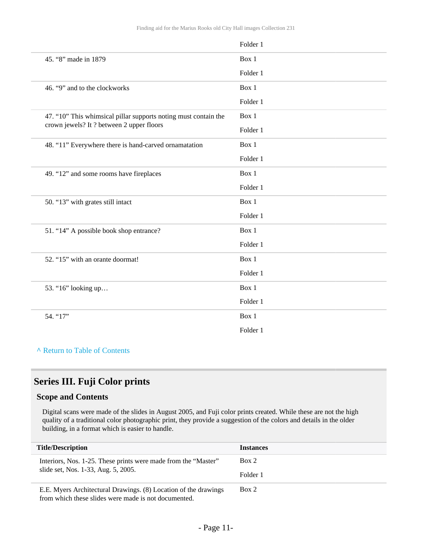|                                                                 | Folder 1 |
|-----------------------------------------------------------------|----------|
| 45. "8" made in 1879                                            | Box 1    |
|                                                                 | Folder 1 |
| 46. "9" and to the clockworks                                   | Box 1    |
|                                                                 | Folder 1 |
| 47. "10" This whimsical pillar supports noting must contain the | Box 1    |
| crown jewels? It ? between 2 upper floors                       | Folder 1 |
| 48. "11" Everywhere there is hand-carved ornamatation           | Box 1    |
|                                                                 | Folder 1 |
| 49. "12" and some rooms have fireplaces                         | Box 1    |
|                                                                 | Folder 1 |
| 50. "13" with grates still intact                               | Box 1    |
|                                                                 | Folder 1 |
| 51. "14" A possible book shop entrance?                         | Box 1    |
|                                                                 | Folder 1 |
| 52. "15" with an orante doormat!                                | Box 1    |
|                                                                 | Folder 1 |
| 53. "16" looking up                                             | Box 1    |
|                                                                 | Folder 1 |
| 54. "17"                                                        | Box 1    |
|                                                                 | Folder 1 |
|                                                                 |          |

**^** [Return to Table of Contents](#page-1-0)

### <span id="page-10-0"></span>**Series III. Fuji Color prints**

#### **Scope and Contents**

Digital scans were made of the slides in August 2005, and Fuji color prints created. While these are not the high quality of a traditional color photographic print, they provide a suggestion of the colors and details in the older building, in a format which is easier to handle.

| <b>Title/Description</b>                                                                                                | <b>Instances</b> |
|-------------------------------------------------------------------------------------------------------------------------|------------------|
| Interiors, Nos. 1-25. These prints were made from the "Master"                                                          | Box 2            |
| slide set, Nos. 1-33, Aug. 5, 2005.                                                                                     | Folder 1         |
| E.E. Myers Architectural Drawings. (8) Location of the drawings<br>from which these slides were made is not documented. | Box 2            |